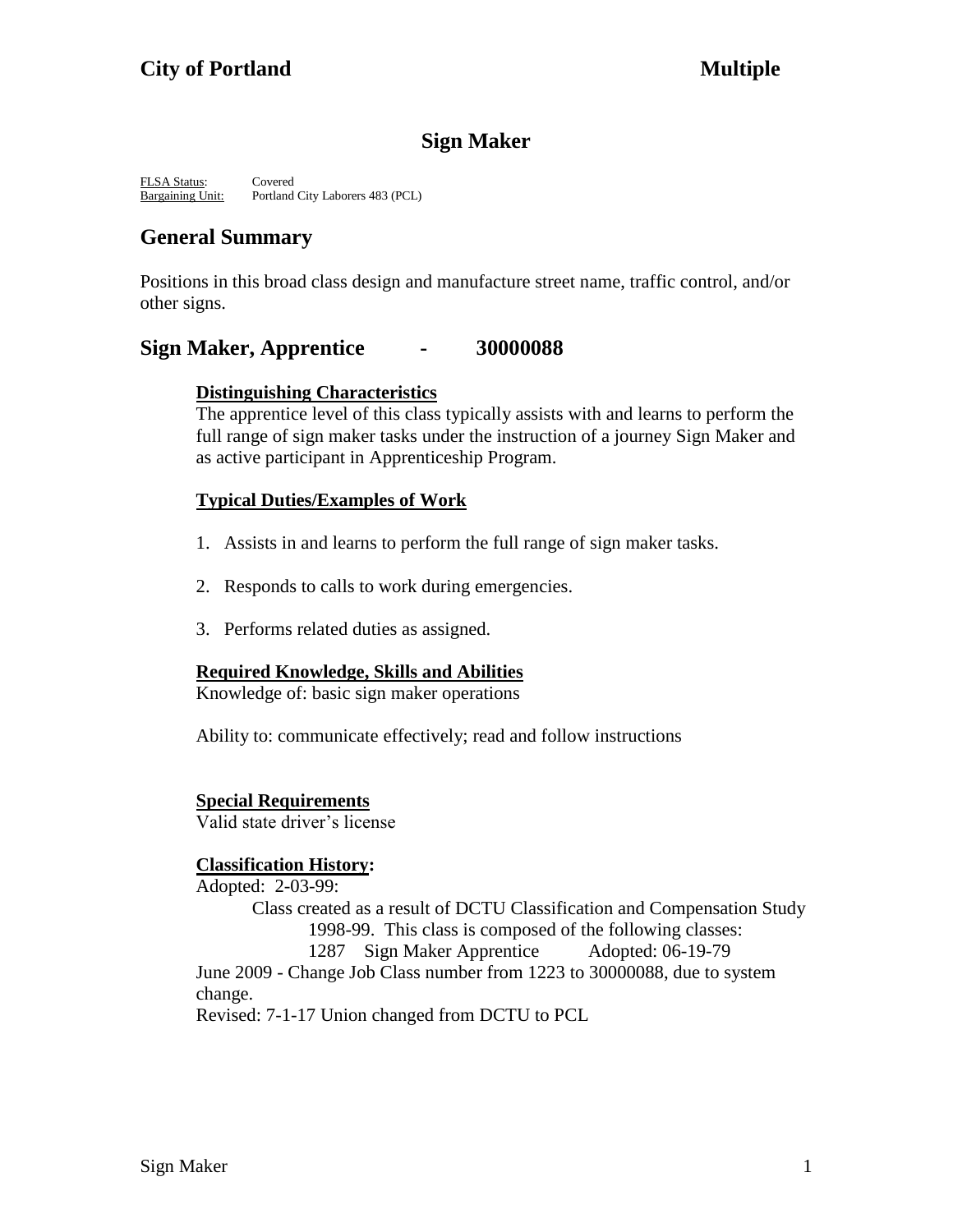# **Sign Maker**

FLSA Status: Covered Bargaining Unit: Portland City Laborers 483 (PCL)

# **General Summary**

Positions in this broad class design and manufacture street name, traffic control, and/or other signs.

## **Sign Maker, Apprentice - 30000088**

### **Distinguishing Characteristics**

The apprentice level of this class typically assists with and learns to perform the full range of sign maker tasks under the instruction of a journey Sign Maker and as active participant in Apprenticeship Program.

### **Typical Duties/Examples of Work**

- 1. Assists in and learns to perform the full range of sign maker tasks.
- 2. Responds to calls to work during emergencies.
- 3. Performs related duties as assigned.

## **Required Knowledge, Skills and Abilities**

Knowledge of: basic sign maker operations

Ability to: communicate effectively; read and follow instructions

### **Special Requirements**

Valid state driver's license

## **Classification History:**

Adopted: 2-03-99: Class created as a result of DCTU Classification and Compensation Study 1998-99. This class is composed of the following classes: 1287 Sign Maker Apprentice Adopted: 06-19-79 June 2009 - Change Job Class number from 1223 to 30000088, due to system change. Revised: 7-1-17 Union changed from DCTU to PCL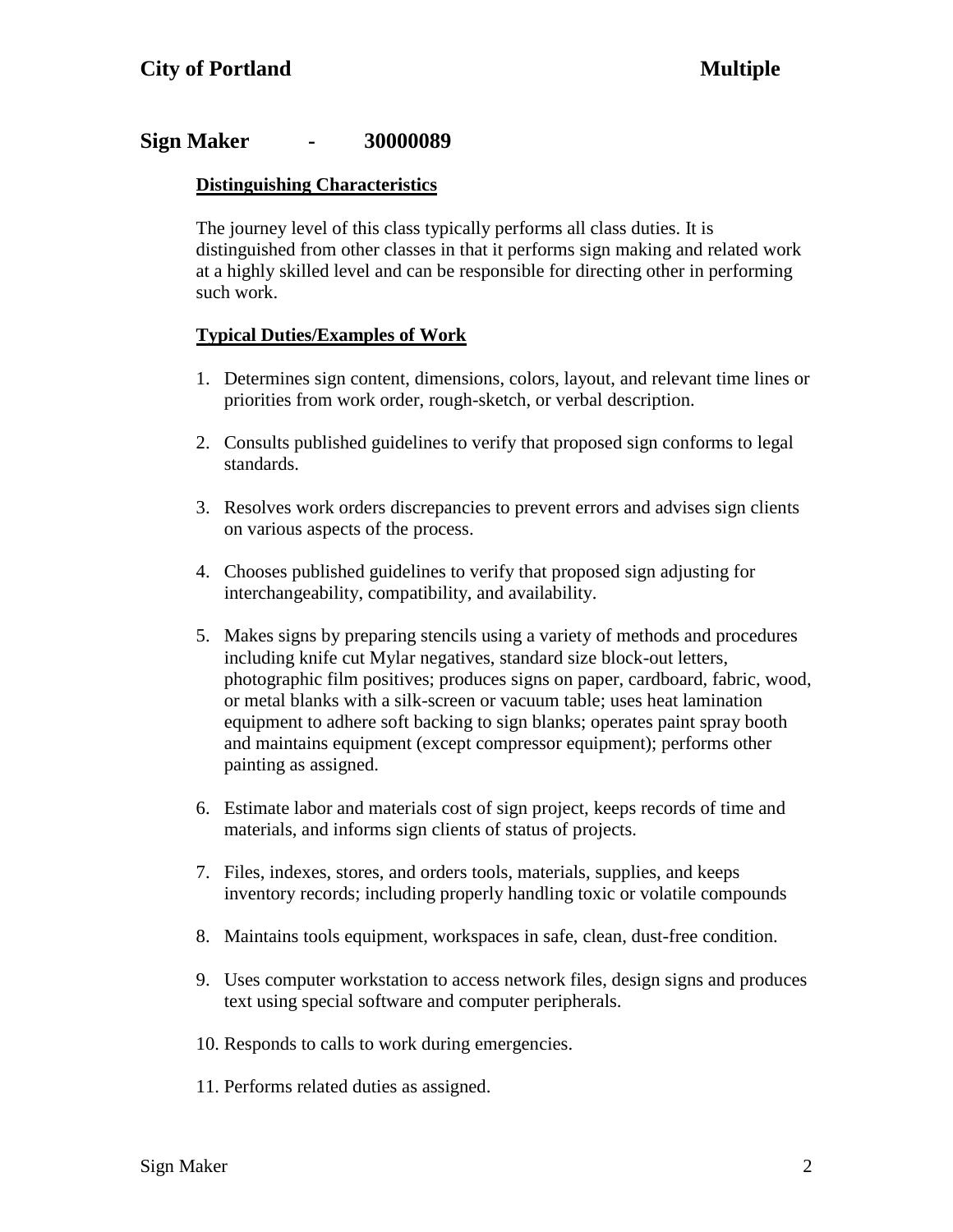## **Sign Maker - 30000089**

### **Distinguishing Characteristics**

The journey level of this class typically performs all class duties. It is distinguished from other classes in that it performs sign making and related work at a highly skilled level and can be responsible for directing other in performing such work.

### **Typical Duties/Examples of Work**

- 1. Determines sign content, dimensions, colors, layout, and relevant time lines or priorities from work order, rough-sketch, or verbal description.
- 2. Consults published guidelines to verify that proposed sign conforms to legal standards.
- 3. Resolves work orders discrepancies to prevent errors and advises sign clients on various aspects of the process.
- 4. Chooses published guidelines to verify that proposed sign adjusting for interchangeability, compatibility, and availability.
- 5. Makes signs by preparing stencils using a variety of methods and procedures including knife cut Mylar negatives, standard size block-out letters, photographic film positives; produces signs on paper, cardboard, fabric, wood, or metal blanks with a silk-screen or vacuum table; uses heat lamination equipment to adhere soft backing to sign blanks; operates paint spray booth and maintains equipment (except compressor equipment); performs other painting as assigned.
- 6. Estimate labor and materials cost of sign project, keeps records of time and materials, and informs sign clients of status of projects.
- 7. Files, indexes, stores, and orders tools, materials, supplies, and keeps inventory records; including properly handling toxic or volatile compounds
- 8. Maintains tools equipment, workspaces in safe, clean, dust-free condition.
- 9. Uses computer workstation to access network files, design signs and produces text using special software and computer peripherals.
- 10. Responds to calls to work during emergencies.
- 11. Performs related duties as assigned.